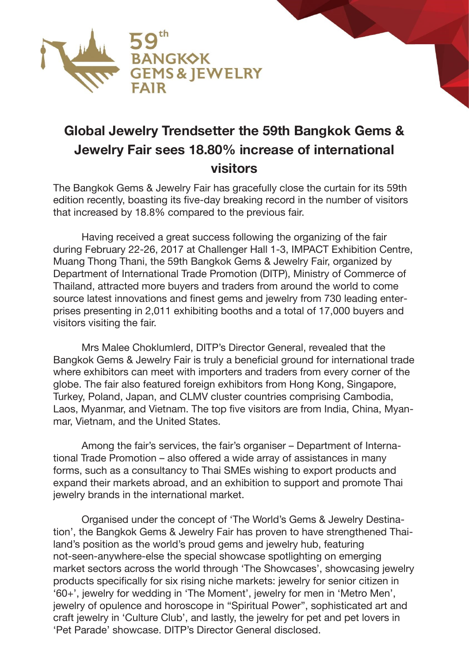

## **Global Jewelry Trendsetter the 59th Bangkok Gems & Jewelry Fair sees 18.80% increase of international visitors**

The Bangkok Gems & Jewelry Fair has gracefully close the curtain for its 59th edition recently, boasting its five-day breaking record in the number of visitors that increased by 18.8% compared to the previous fair.

 Having received a great success following the organizing of the fair during February 22-26, 2017 at Challenger Hall 1-3, IMPACT Exhibition Centre, Muang Thong Thani, the 59th Bangkok Gems & Jewelry Fair, organized by Department of International Trade Promotion (DITP), Ministry of Commerce of Thailand, attracted more buyers and traders from around the world to come source latest innovations and finest gems and jewelry from 730 leading enterprises presenting in 2,011 exhibiting booths and a total of 17,000 buyers and visitors visiting the fair.

 Mrs Malee Choklumlerd, DITP's Director General, revealed that the Bangkok Gems & Jewelry Fair is truly a beneficial ground for international trade where exhibitors can meet with importers and traders from every corner of the globe. The fair also featured foreign exhibitors from Hong Kong, Singapore, Turkey, Poland, Japan, and CLMV cluster countries comprising Cambodia, Laos, Myanmar, and Vietnam. The top five visitors are from India, China, Myanmar, Vietnam, and the United States.

 Among the fair's services, the fair's organiser – Department of International Trade Promotion – also offered a wide array of assistances in many forms, such as a consultancy to Thai SMEs wishing to export products and expand their markets abroad, and an exhibition to support and promote Thai jewelry brands in the international market.

 Organised under the concept of 'The World's Gems & Jewelry Destination', the Bangkok Gems & Jewelry Fair has proven to have strengthened Thailand's position as the world's proud gems and jewelry hub, featuring not-seen-anywhere-else the special showcase spotlighting on emerging market sectors across the world through 'The Showcases', showcasing jewelry products specifically for six rising niche markets: jewelry for senior citizen in '60+', jewelry for wedding in 'The Moment', jewelry for men in 'Metro Men', jewelry of opulence and horoscope in "Spiritual Power", sophisticated art and craft jewelry in 'Culture Club', and lastly, the jewelry for pet and pet lovers in 'Pet Parade' showcase. DITP's Director General disclosed.